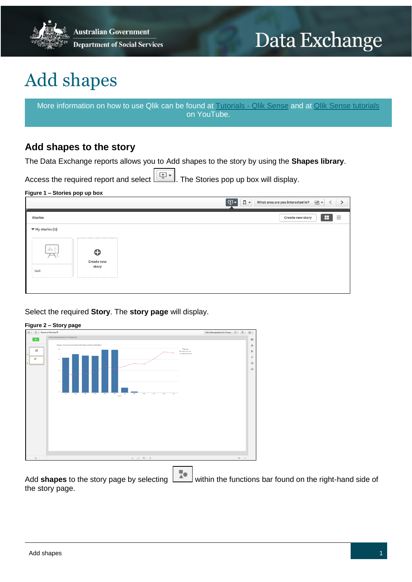

# Data Exchange

# Add shapes

More information on how to use Qlik can be found at [Tutorials -](https://help.qlik.com/en-US/sense/2.2/Content/Tutorials.htm) Qlik Sense and at [Qlik Sense tutorials](http://www.bing.com/videos/search?q=qlik+sense+tutorials+youtube&qpvt=qlik+sense+tutorials+youtube&FORM=VDRE) on YouTube.

### **Add shapes to the story**

The Data Exchange reports allows you to Add shapes to the story by using the **Shapes library**.

Access the required report and select . The Stories pop up box will display.

#### **Figure 1 – Stories pop up box**

|                                                         | $\Box$<br>ाकून,<br>▦▾<br>What area are you interested in?<br>╭ |
|---------------------------------------------------------|----------------------------------------------------------------|
| <b>Stories</b>                                          | н<br>≣<br><b>Create new story</b>                              |
| $\Psi$ My stories (1)                                   |                                                                |
| $\ \ _1 \in$<br>€<br><b>Create new</b><br>story<br>test |                                                                |

Select the required **Story**. The **story page** will display.

#### **Figure 2 – Story page**

| $\emptyset$ v $\equiv$ v Resource Planning                                                                                                   | Client Demographics for Progra $\boxed{\frac{1}{N}}$ $\ast$ $\boxed{N}$ $\ast$ $\boxed{5}$ $\ast$ |
|----------------------------------------------------------------------------------------------------------------------------------------------|---------------------------------------------------------------------------------------------------|
| Client Demographics for Program A                                                                                                            | $\Box$                                                                                            |
| Number of Active Cases in 2016-2017 (bar) and 2016-2016 (line)                                                                               | A                                                                                                 |
| Механия<br>$\alpha$<br>涌<br><b>B</b> Cases Corrent Year<br>· Cases Previous Vear<br>$\mathbf{1}$                                             | $\frac{\pi}{\Delta} \Phi$                                                                         |
| Ωí<br>$500$                                                                                                                                  | £                                                                                                 |
| $\overline{2}$                                                                                                                               | $\overline{\phantom{a}}$                                                                          |
| $\infty$ .                                                                                                                                   | 硒                                                                                                 |
|                                                                                                                                              |                                                                                                   |
| 18                                                                                                                                           |                                                                                                   |
|                                                                                                                                              |                                                                                                   |
| <b>.</b><br>Aug<br>×<br>147<br>$^{54}$<br>Nev<br>$\overline{a}$<br>$N_{\rm H}$<br>$\lambda$<br>$\lambda\mu$<br>May<br>Jun.<br>Fab.<br>Mariti |                                                                                                   |
|                                                                                                                                              |                                                                                                   |
|                                                                                                                                              |                                                                                                   |
|                                                                                                                                              |                                                                                                   |
|                                                                                                                                              |                                                                                                   |
|                                                                                                                                              |                                                                                                   |
|                                                                                                                                              |                                                                                                   |
|                                                                                                                                              |                                                                                                   |
|                                                                                                                                              |                                                                                                   |
|                                                                                                                                              |                                                                                                   |
| $\begin{array}{cccccccccccccc} \ast & \circ & \circ & \circ & \circ & \circ & \circ \end{array}$<br>$^{+}$                                   | $\Theta_{\rm{c}}$ and                                                                             |
|                                                                                                                                              |                                                                                                   |

Add **shapes** to the story page by selecting within the functions bar found on the right-hand side of the story page.